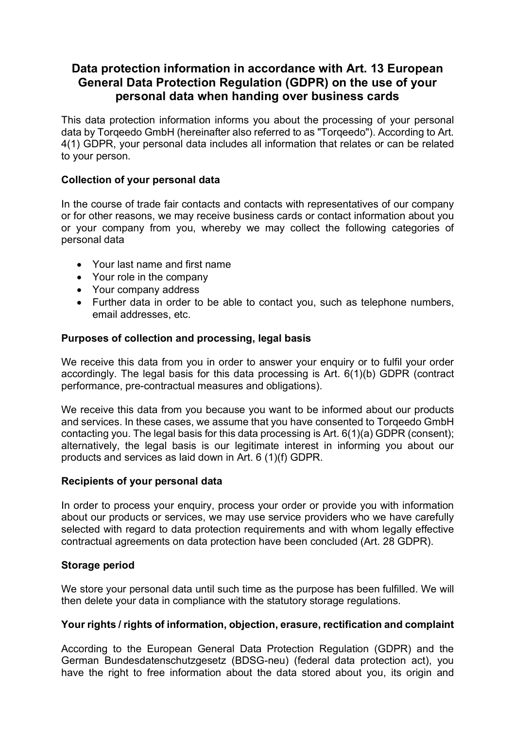# **Data protection information in accordance with Art. 13 European General Data Protection Regulation (GDPR) on the use of your personal data when handing over business cards**

This data protection information informs you about the processing of your personal data by Torqeedo GmbH (hereinafter also referred to as "Torqeedo"). According to Art. 4(1) GDPR, your personal data includes all information that relates or can be related to your person.

# **Collection of your personal data**

In the course of trade fair contacts and contacts with representatives of our company or for other reasons, we may receive business cards or contact information about you or your company from you, whereby we may collect the following categories of personal data

- Your last name and first name
- Your role in the company
- Your company address
- Further data in order to be able to contact you, such as telephone numbers, email addresses, etc.

# **Purposes of collection and processing, legal basis**

We receive this data from you in order to answer your enquiry or to fulfil your order accordingly. The legal basis for this data processing is Art. 6(1)(b) GDPR (contract performance, pre-contractual measures and obligations).

We receive this data from you because you want to be informed about our products and services. In these cases, we assume that you have consented to Torqeedo GmbH contacting you. The legal basis for this data processing is Art. 6(1)(a) GDPR (consent); alternatively, the legal basis is our legitimate interest in informing you about our products and services as laid down in Art. 6 (1)(f) GDPR.

# **Recipients of your personal data**

In order to process your enquiry, process your order or provide you with information about our products or services, we may use service providers who we have carefully selected with regard to data protection requirements and with whom legally effective contractual agreements on data protection have been concluded (Art. 28 GDPR).

# **Storage period**

We store your personal data until such time as the purpose has been fulfilled. We will then delete your data in compliance with the statutory storage regulations.

# **Your rights / rights of information, objection, erasure, rectification and complaint**

According to the European General Data Protection Regulation (GDPR) and the German Bundesdatenschutzgesetz (BDSG-neu) (federal data protection act), you have the right to free information about the data stored about you, its origin and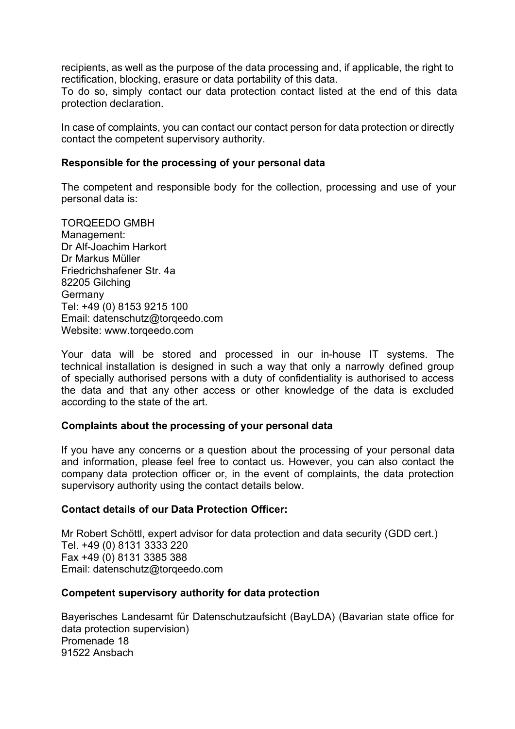recipients, as well as the purpose of the data processing and, if applicable, the right to rectification, blocking, erasure or data portability of this data.

To do so, simply contact our data protection contact listed at the end of this data protection declaration.

In case of complaints, you can contact our contact person for data protection or directly contact the competent supervisory authority.

### **Responsible for the processing of your personal data**

The competent and responsible body for the collection, processing and use of your personal data is:

TORQEEDO GMBH Management: Dr Alf-Joachim Harkort Dr Markus Müller Friedrichshafener Str. 4a 82205 Gilching **Germany** Tel: +49 (0) 8153 9215 100 Email: datenschutz@torqeedo.com Website: www.torqeedo.com

Your data will be stored and processed in our in-house IT systems. The technical installation is designed in such a way that only a narrowly defined group of specially authorised persons with a duty of confidentiality is authorised to access the data and that any other access or other knowledge of the data is excluded according to the state of the art.

### **Complaints about the processing of your personal data**

If you have any concerns or a question about the processing of your personal data and information, please feel free to contact us. However, you can also contact the company data protection officer or, in the event of complaints, the data protection supervisory authority using the contact details below.

#### **Contact details of our Data Protection Officer:**

Mr Robert Schöttl, expert advisor for data protection and data security (GDD cert.) Tel. +49 (0) 8131 3333 220 Fax +49 (0) 8131 3385 388 Email: datenschutz@torqeedo.com

### **Competent supervisory authority for data protection**

Bayerisches Landesamt für Datenschutzaufsicht (BayLDA) (Bavarian state office for data protection supervision) Promenade 18 91522 Ansbach